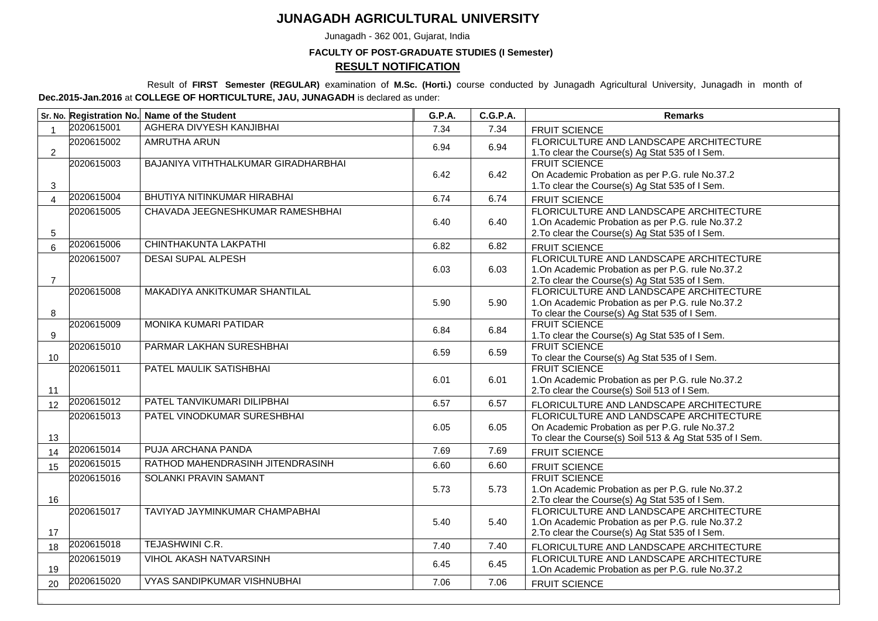## **JUNAGADH AGRICULTURAL UNIVERSITY**

Junagadh - 362 001, Gujarat, India

## **FACULTY OF POST-GRADUATE STUDIES (I Semester) RESULT NOTIFICATION**

Result of **FIRST Semester (REGULAR)** examination of **M.Sc. (Horti.)** course conducted by Junagadh Agricultural University, Junagadh in month of **Dec.2015-Jan.2016** at **COLLEGE OF HORTICULTURE, JAU, JUNAGADH** is declared as under:

|                 |            | Sr. No. Registration No. Name of the Student | G.P.A. | <b>C.G.P.A.</b> | <b>Remarks</b>                                                                                                                                       |
|-----------------|------------|----------------------------------------------|--------|-----------------|------------------------------------------------------------------------------------------------------------------------------------------------------|
|                 | 2020615001 | AGHERA DIVYESH KANJIBHAI                     | 7.34   | 7.34            | FRUIT SCIENCE                                                                                                                                        |
| $\overline{2}$  | 2020615002 | <b>AMRUTHA ARUN</b>                          | 6.94   | 6.94            | FLORICULTURE AND LANDSCAPE ARCHITECTURE<br>1. To clear the Course(s) Ag Stat 535 of I Sem.                                                           |
| $\mathbf{3}$    | 2020615003 | BAJANIYA VITHTHALKUMAR GIRADHARBHAI          | 6.42   | 6.42            | <b>FRUIT SCIENCE</b><br>On Academic Probation as per P.G. rule No.37.2<br>1. To clear the Course(s) Ag Stat 535 of I Sem.                            |
| $\overline{4}$  | 2020615004 | BHUTIYA NITINKUMAR HIRABHAI                  | 6.74   | 6.74            | FRUIT SCIENCE                                                                                                                                        |
| $5\phantom{.0}$ | 2020615005 | CHAVADA JEEGNESHKUMAR RAMESHBHAI             | 6.40   | 6.40            | FLORICULTURE AND LANDSCAPE ARCHITECTURE<br>1.On Academic Probation as per P.G. rule No.37.2<br>2. To clear the Course(s) Ag Stat 535 of I Sem.       |
| $6\overline{6}$ | 2020615006 | CHINTHAKUNTA LAKPATHI                        | 6.82   | 6.82            | <b>FRUIT SCIENCE</b>                                                                                                                                 |
| $\overline{7}$  | 2020615007 | <b>DESAI SUPAL ALPESH</b>                    | 6.03   | 6.03            | FLORICULTURE AND LANDSCAPE ARCHITECTURE<br>1.On Academic Probation as per P.G. rule No.37.2<br>2. To clear the Course(s) Ag Stat 535 of I Sem.       |
| 8               | 2020615008 | MAKADIYA ANKITKUMAR SHANTILAL                | 5.90   | 5.90            | FLORICULTURE AND LANDSCAPE ARCHITECTURE<br>1.On Academic Probation as per P.G. rule No.37.2<br>To clear the Course(s) Ag Stat 535 of I Sem.          |
| 9               | 2020615009 | MONIKA KUMARI PATIDAR                        | 6.84   | 6.84            | <b>FRUIT SCIENCE</b><br>1. To clear the Course(s) Ag Stat 535 of I Sem.                                                                              |
| 10              | 2020615010 | PARMAR LAKHAN SURESHBHAI                     | 6.59   | 6.59            | <b>FRUIT SCIENCE</b><br>To clear the Course(s) Ag Stat 535 of I Sem.                                                                                 |
| 11              | 2020615011 | PATEL MAULIK SATISHBHAI                      | 6.01   | 6.01            | <b>FRUIT SCIENCE</b><br>1.On Academic Probation as per P.G. rule No.37.2<br>2. To clear the Course(s) Soil 513 of I Sem.                             |
| 12              | 2020615012 | PATEL TANVIKUMARI DILIPBHAI                  | 6.57   | 6.57            | FLORICULTURE AND LANDSCAPE ARCHITECTURE                                                                                                              |
| 13              | 2020615013 | PATEL VINODKUMAR SURESHBHAI                  | 6.05   | 6.05            | FLORICULTURE AND LANDSCAPE ARCHITECTURE<br>On Academic Probation as per P.G. rule No.37.2<br>To clear the Course(s) Soil 513 & Ag Stat 535 of I Sem. |
| 14              | 2020615014 | PUJA ARCHANA PANDA                           | 7.69   | 7.69            | FRUIT SCIENCE                                                                                                                                        |
| 15              | 2020615015 | RATHOD MAHENDRASINH JITENDRASINH             | 6.60   | 6.60            | <b>FRUIT SCIENCE</b>                                                                                                                                 |
| 16              | 2020615016 | <b>SOLANKI PRAVIN SAMANT</b>                 | 5.73   | 5.73            | <b>FRUIT SCIENCE</b><br>1.On Academic Probation as per P.G. rule No.37.2<br>2. To clear the Course(s) Ag Stat 535 of I Sem.                          |
| 17              | 2020615017 | TAVIYAD JAYMINKUMAR CHAMPABHAI               | 5.40   | 5.40            | FLORICULTURE AND LANDSCAPE ARCHITECTURE<br>1.On Academic Probation as per P.G. rule No.37.2<br>2. To clear the Course(s) Ag Stat 535 of I Sem.       |
| 18              | 2020615018 | TEJASHWINI C.R.                              | 7.40   | 7.40            | FLORICULTURE AND LANDSCAPE ARCHITECTURE                                                                                                              |
| 19              | 2020615019 | <b>VIHOL AKASH NATVARSINH</b>                | 6.45   | 6.45            | FLORICULTURE AND LANDSCAPE ARCHITECTURE<br>1. On Academic Probation as per P.G. rule No.37.2                                                         |
| 20              | 2020615020 | <b>VYAS SANDIPKUMAR VISHNUBHAI</b>           | 7.06   | 7.06            | <b>FRUIT SCIENCE</b>                                                                                                                                 |